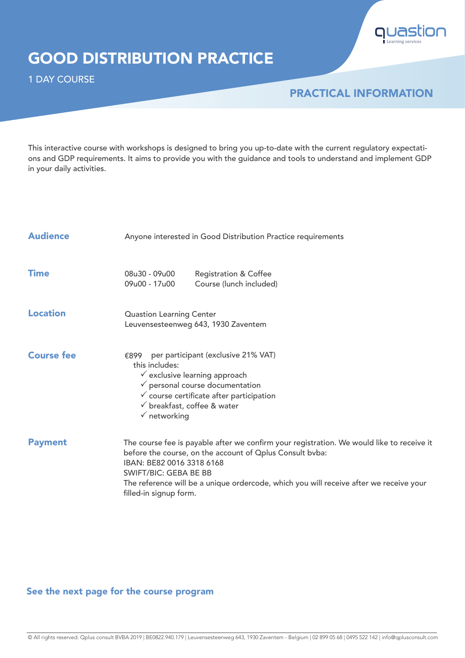

## GOOD DISTRIBUTION PRACTICE

1 DAY COURSE

### PRACTICAL INFORMATION

This interactive course with workshops is designed to bring you up-to-date with the current regulatory expectations and GDP requirements. It aims to provide you with the guidance and tools to understand and implement GDP in your daily activities.

| <b>Audience</b>   | Anyone interested in Good Distribution Practice requirements                                                                                                                                                                                                                                                                    |  |  |  |  |
|-------------------|---------------------------------------------------------------------------------------------------------------------------------------------------------------------------------------------------------------------------------------------------------------------------------------------------------------------------------|--|--|--|--|
| <b>Time</b>       | 08u30 - 09u00<br><b>Registration &amp; Coffee</b><br>09u00 - 17u00<br>Course (lunch included)                                                                                                                                                                                                                                   |  |  |  |  |
| <b>Location</b>   | <b>Quastion Learning Center</b><br>Leuvensesteenweg 643, 1930 Zaventem                                                                                                                                                                                                                                                          |  |  |  |  |
| <b>Course fee</b> | per participant (exclusive 21% VAT)<br>€899<br>this includes:<br>$\checkmark$ exclusive learning approach<br>$\checkmark$ personal course documentation<br>$\checkmark$ course certificate after participation<br>$\checkmark$ breakfast, coffee & water<br>$\checkmark$ networking                                             |  |  |  |  |
| <b>Payment</b>    | The course fee is payable after we confirm your registration. We would like to receive it<br>before the course, on the account of Oplus Consult bvba:<br>IBAN: BE82 0016 3318 6168<br>SWIFT/BIC: GEBA BE BB<br>The reference will be a unique ordercode, which you will receive after we receive your<br>filled-in signup form. |  |  |  |  |

#### See the next page for the course program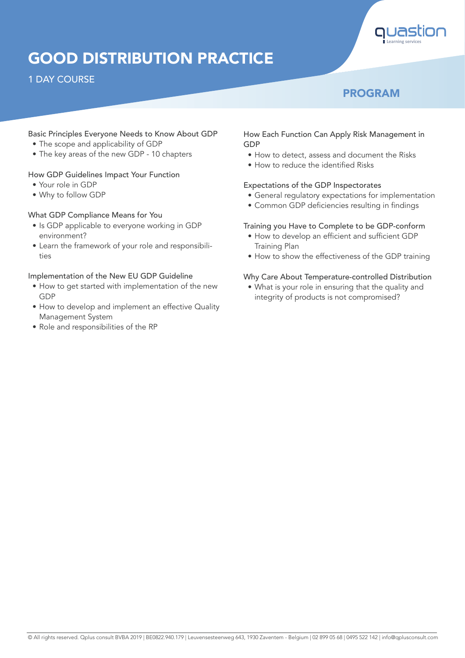

# GOOD DISTRIBUTION PRACTICE

#### 1 DAY COURSE

### PROGRAM

#### Basic Principles Everyone Needs to Know About GDP

- The scope and applicability of GDP
- The key areas of the new GDP 10 chapters

#### How GDP Guidelines Impact Your Function

- Your role in GDP
- Why to follow GDP

#### What GDP Compliance Means for You

- Is GDP applicable to everyone working in GDP environment?
- Learn the framework of your role and responsibilities

#### Implementation of the New EU GDP Guideline

- How to get started with implementation of the new GDP
- How to develop and implement an effective Quality Management System
- Role and responsibilities of the RP

#### How Each Function Can Apply Risk Management in GDP

- How to detect, assess and document the Risks
- How to reduce the identified Risks

#### Expectations of the GDP Inspectorates

- General regulatory expectations for implementation
- Common GDP deficiencies resulting in findings

#### Training you Have to Complete to be GDP-conform

- How to develop an efficient and sufficient GDP Training Plan
- How to show the effectiveness of the GDP training

#### Why Care About Temperature-controlled Distribution

• What is your role in ensuring that the quality and integrity of products is not compromised?